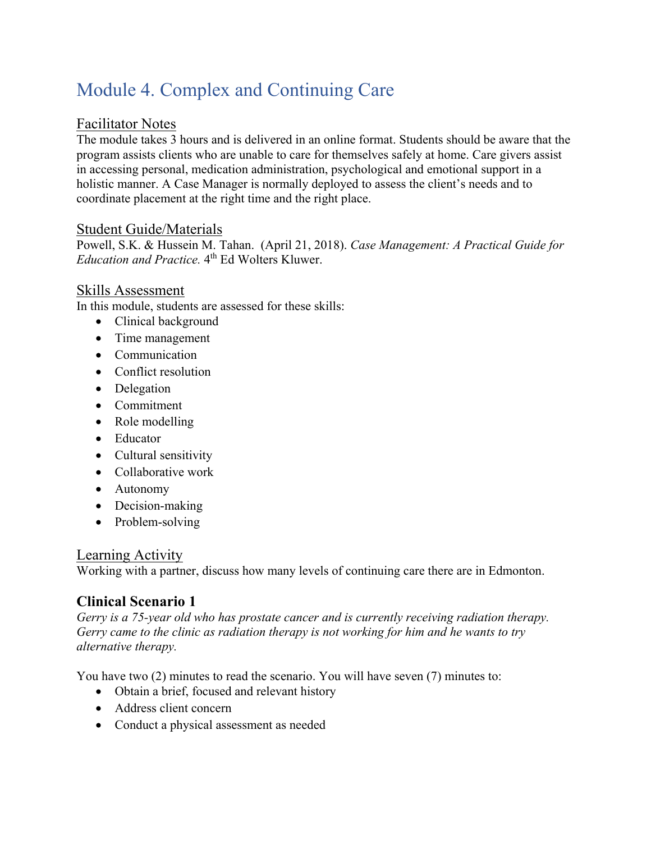# Module 4. Complex and Continuing Care

## Facilitator Notes

The module takes 3 hours and is delivered in an online format. Students should be aware that the program assists clients who are unable to care for themselves safely at home. Care givers assist in accessing personal, medication administration, psychological and emotional support in a holistic manner. A Case Manager is normally deployed to assess the client's needs and to coordinate placement at the right time and the right place.

#### Student Guide/Materials

Powell, S.K. & Hussein M. Tahan. (April 21, 2018). *Case Management: A Practical Guide for Education and Practice.* 4<sup>th</sup> Ed Wolters Kluwer.

#### Skills Assessment

In this module, students are assessed for these skills:

- Clinical background
- Time management
- Communication
- Conflict resolution
- Delegation
- Commitment
- Role modelling
- Educator
- Cultural sensitivity
- Collaborative work
- Autonomy
- Decision-making
- Problem-solving

#### Learning Activity

Working with a partner, discuss how many levels of continuing care there are in Edmonton.

## **Clinical Scenario 1**

*Gerry is a 75-year old who has prostate cancer and is currently receiving radiation therapy. Gerry came to the clinic as radiation therapy is not working for him and he wants to try alternative therapy.* 

You have two (2) minutes to read the scenario. You will have seven (7) minutes to:

- Obtain a brief, focused and relevant history
- Address client concern
- Conduct a physical assessment as needed